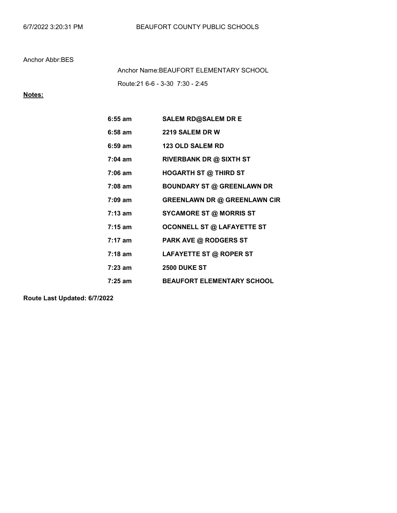## Anchor Abbr:BES

Route:21 6-6 - 3-30 7:30 - 2:45 Anchor Name:BEAUFORT ELEMENTARY SCHOOL

## Notes:

| $6:55$ am         | <b>SALEM RD@SALEM DR E</b>          |
|-------------------|-------------------------------------|
| $6:58$ am         | 2219 SALEM DR W                     |
| $6:59$ am         | <b>123 OLD SALEM RD</b>             |
| $7:04$ am         | <b>RIVERBANK DR @ SIXTH ST</b>      |
| 7:06 am           | <b>HOGARTH ST @ THIRD ST</b>        |
| $7:08$ am         | <b>BOUNDARY ST @ GREENLAWN DR</b>   |
| $7:09$ am         | <b>GREENLAWN DR @ GREENLAWN CIR</b> |
| $7:13 \text{ am}$ | <b>SYCAMORE ST @ MORRIS ST</b>      |
| $7:15 \text{ am}$ | <b>OCONNELL ST @ LAFAYETTE ST</b>   |
| $7:17 \text{ am}$ | <b>PARK AVE @ RODGERS ST</b>        |
| $7:18$ am         | LAFAYETTE ST @ ROPER ST             |
| 7:23 am           | <b>2500 DUKE ST</b>                 |
| 7:25 am           | <b>BEAUFORT ELEMENTARY SCHOOL</b>   |

Route Last Updated: 6/7/2022